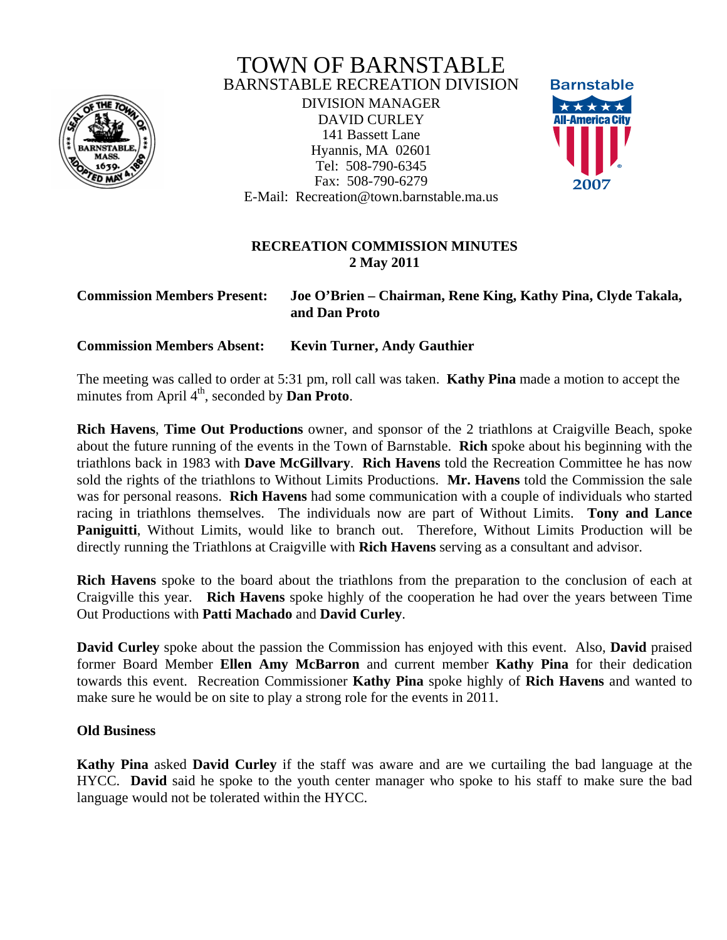

# TOWN OF BARNSTABLE BARNSTABLE RECREATION DIVISION

DIVISION MANAGER DAVID CURLEY 141 Bassett Lane Hyannis, MA 02601 Tel: 508-790-6345 Fax: 508-790-6279 E-Mail: Recreation@town.barnstable.ma.us



# **RECREATION COMMISSION MINUTES 2 May 2011**

### **Commission Members Present: Joe O'Brien – Chairman, Rene King, Kathy Pina, Clyde Takala, and Dan Proto**

**Commission Members Absent: Kevin Turner, Andy Gauthier**

The meeting was called to order at 5:31 pm, roll call was taken. **Kathy Pina** made a motion to accept the minutes from April  $4<sup>th</sup>$ , seconded by **Dan Proto**.

**Rich Havens**, **Time Out Productions** owner, and sponsor of the 2 triathlons at Craigville Beach, spoke about the future running of the events in the Town of Barnstable. **Rich** spoke about his beginning with the triathlons back in 1983 with **Dave McGillvary**. **Rich Havens** told the Recreation Committee he has now sold the rights of the triathlons to Without Limits Productions. **Mr. Havens** told the Commission the sale was for personal reasons. **Rich Havens** had some communication with a couple of individuals who started racing in triathlons themselves. The individuals now are part of Without Limits. **Tony and Lance Paniguitti**, Without Limits, would like to branch out. Therefore, Without Limits Production will be directly running the Triathlons at Craigville with **Rich Havens** serving as a consultant and advisor.

**Rich Havens** spoke to the board about the triathlons from the preparation to the conclusion of each at Craigville this year. **Rich Havens** spoke highly of the cooperation he had over the years between Time Out Productions with **Patti Machado** and **David Curley**.

**David Curley** spoke about the passion the Commission has enjoyed with this event. Also, **David** praised former Board Member **Ellen Amy McBarron** and current member **Kathy Pina** for their dedication towards this event. Recreation Commissioner **Kathy Pina** spoke highly of **Rich Havens** and wanted to make sure he would be on site to play a strong role for the events in 2011.

# **Old Business**

**Kathy Pina** asked **David Curley** if the staff was aware and are we curtailing the bad language at the HYCC. **David** said he spoke to the youth center manager who spoke to his staff to make sure the bad language would not be tolerated within the HYCC.